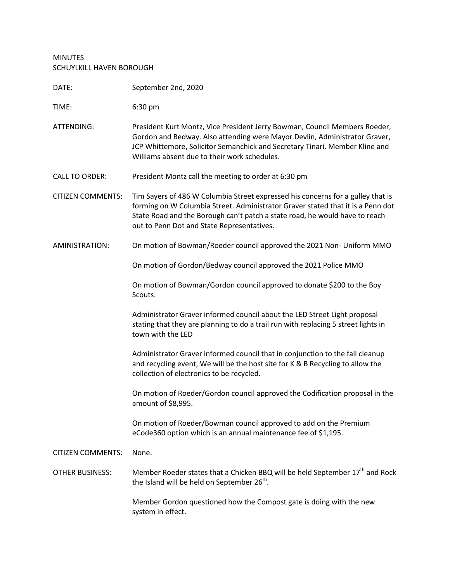## MINUTES SCHUYLKILL HAVEN BOROUGH

| DATE:                    | September 2nd, 2020                                                                                                                                                                                                                                                                             |
|--------------------------|-------------------------------------------------------------------------------------------------------------------------------------------------------------------------------------------------------------------------------------------------------------------------------------------------|
| TIME:                    | 6:30 pm                                                                                                                                                                                                                                                                                         |
| ATTENDING:               | President Kurt Montz, Vice President Jerry Bowman, Council Members Roeder,<br>Gordon and Bedway. Also attending were Mayor Devlin, Administrator Graver,<br>JCP Whittemore, Solicitor Semanchick and Secretary Tinari. Member Kline and<br>Williams absent due to their work schedules.         |
| <b>CALL TO ORDER:</b>    | President Montz call the meeting to order at 6:30 pm                                                                                                                                                                                                                                            |
| <b>CITIZEN COMMENTS:</b> | Tim Sayers of 486 W Columbia Street expressed his concerns for a gulley that is<br>forming on W Columbia Street. Administrator Graver stated that it is a Penn dot<br>State Road and the Borough can't patch a state road, he would have to reach<br>out to Penn Dot and State Representatives. |
| AMINISTRATION:           | On motion of Bowman/Roeder council approved the 2021 Non- Uniform MMO                                                                                                                                                                                                                           |
|                          | On motion of Gordon/Bedway council approved the 2021 Police MMO                                                                                                                                                                                                                                 |
|                          | On motion of Bowman/Gordon council approved to donate \$200 to the Boy<br>Scouts.                                                                                                                                                                                                               |
|                          | Administrator Graver informed council about the LED Street Light proposal<br>stating that they are planning to do a trail run with replacing 5 street lights in<br>town with the LED                                                                                                            |
|                          | Administrator Graver informed council that in conjunction to the fall cleanup<br>and recycling event, We will be the host site for K & B Recycling to allow the<br>collection of electronics to be recycled.                                                                                    |
|                          | On motion of Roeder/Gordon council approved the Codification proposal in the<br>amount of \$8,995.                                                                                                                                                                                              |
|                          | On motion of Roeder/Bowman council approved to add on the Premium<br>eCode360 option which is an annual maintenance fee of \$1,195.                                                                                                                                                             |
| <b>CITIZEN COMMENTS:</b> | None.                                                                                                                                                                                                                                                                                           |
| <b>OTHER BUSINESS:</b>   | Member Roeder states that a Chicken BBQ will be held September 17 <sup>th</sup> and Rock<br>the Island will be held on September 26 <sup>th</sup> .                                                                                                                                             |
|                          | Member Gordon questioned how the Compost gate is doing with the new<br>system in effect.                                                                                                                                                                                                        |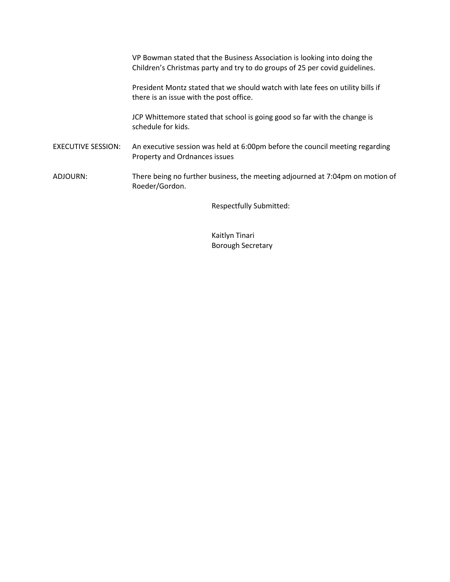VP Bowman stated that the Business Association is looking into doing the Children's Christmas party and try to do groups of 25 per covid guidelines. President Montz stated that we should watch with late fees on utility bills if there is an issue with the post office. JCP Whittemore stated that school is going good so far with the change is schedule for kids. EXECUTIVE SESSION: An executive session was held at 6:00pm before the council meeting regarding Property and Ordnances issues ADJOURN: There being no further business, the meeting adjourned at 7:04pm on motion of Roeder/Gordon.

Respectfully Submitted:

Kaitlyn Tinari Borough Secretary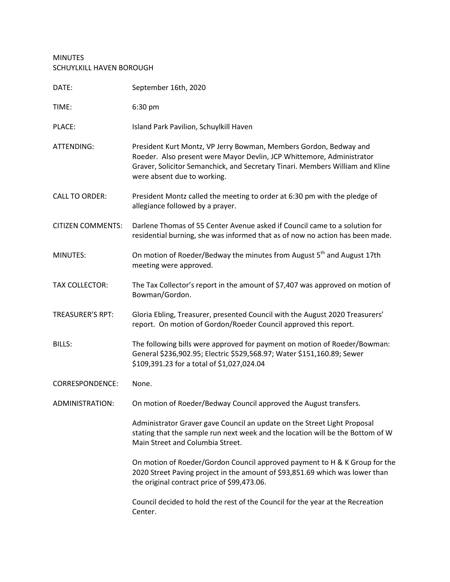## MINUTES SCHUYLKILL HAVEN BOROUGH

| DATE:                    | September 16th, 2020                                                                                                                                                                                                                                       |
|--------------------------|------------------------------------------------------------------------------------------------------------------------------------------------------------------------------------------------------------------------------------------------------------|
| TIME:                    | 6:30 pm                                                                                                                                                                                                                                                    |
| PLACE:                   | Island Park Pavilion, Schuylkill Haven                                                                                                                                                                                                                     |
| ATTENDING:               | President Kurt Montz, VP Jerry Bowman, Members Gordon, Bedway and<br>Roeder. Also present were Mayor Devlin, JCP Whittemore, Administrator<br>Graver, Solicitor Semanchick, and Secretary Tinari. Members William and Kline<br>were absent due to working. |
| <b>CALL TO ORDER:</b>    | President Montz called the meeting to order at 6:30 pm with the pledge of<br>allegiance followed by a prayer.                                                                                                                                              |
| <b>CITIZEN COMMENTS:</b> | Darlene Thomas of 55 Center Avenue asked if Council came to a solution for<br>residential burning, she was informed that as of now no action has been made.                                                                                                |
| MINUTES:                 | On motion of Roeder/Bedway the minutes from August 5 <sup>th</sup> and August 17th<br>meeting were approved.                                                                                                                                               |
| <b>TAX COLLECTOR:</b>    | The Tax Collector's report in the amount of \$7,407 was approved on motion of<br>Bowman/Gordon.                                                                                                                                                            |
| <b>TREASURER'S RPT:</b>  | Gloria Ebling, Treasurer, presented Council with the August 2020 Treasurers'<br>report. On motion of Gordon/Roeder Council approved this report.                                                                                                           |
| <b>BILLS:</b>            | The following bills were approved for payment on motion of Roeder/Bowman:<br>General \$236,902.95; Electric \$529,568.97; Water \$151,160.89; Sewer<br>\$109,391.23 for a total of \$1,027,024.04                                                          |
| <b>CORRESPONDENCE:</b>   | None.                                                                                                                                                                                                                                                      |
| ADMINISTRATION:          | On motion of Roeder/Bedway Council approved the August transfers.                                                                                                                                                                                          |
|                          | Administrator Graver gave Council an update on the Street Light Proposal<br>stating that the sample run next week and the location will be the Bottom of W<br>Main Street and Columbia Street.                                                             |
|                          | On motion of Roeder/Gordon Council approved payment to H & K Group for the<br>2020 Street Paving project in the amount of \$93,851.69 which was lower than<br>the original contract price of \$99,473.06.                                                  |
|                          | Council decided to hold the rest of the Council for the year at the Recreation<br>Center.                                                                                                                                                                  |